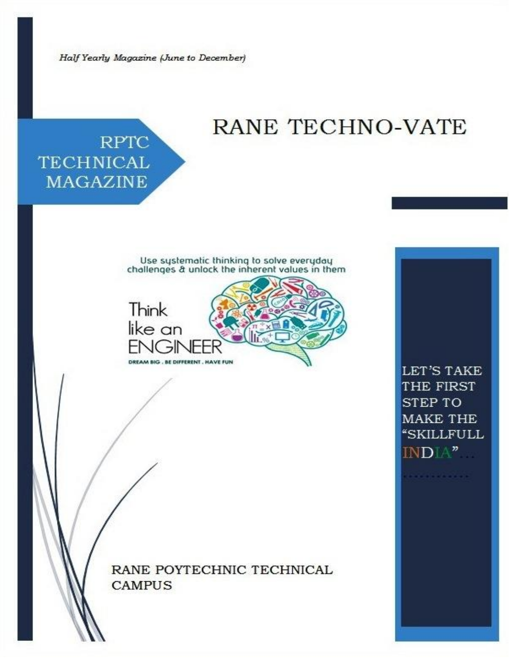Half Yearly Magazine (June to December)

# RANE TECHNO-VATE

# **RPTC TECHNICAL MAGAZINE**

Use systematic thinking to solve everyday<br>challenges & unlock the inherent values in them



**RANE POYTECHNIC TECHNICAL CAMPUS** 

LET'S TAKE THE FIRST **STEP TO MAKE THE "SKILLFULL** INDIA"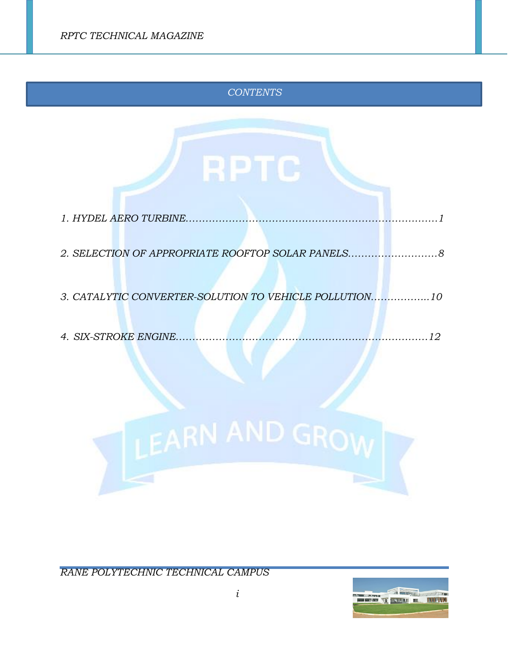# *CONTENTS*

| 2. SELECTION OF APPROPRIATE ROOFTOP SOLAR PANELS     |    |
|------------------------------------------------------|----|
| 3. CATALYTIC CONVERTER-SOLUTION TO VEHICLE POLLUTION | 10 |
| 4. SIX-STROKE ENGINE.                                | 19 |



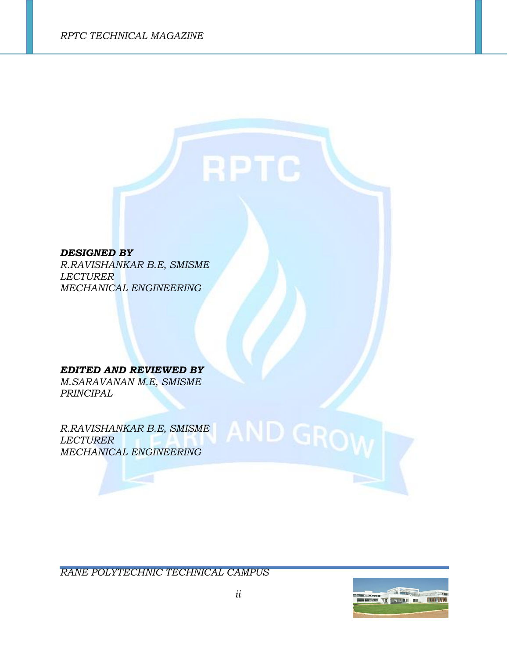*DESIGNED BY* 

*R.RAVISHANKAR B.E, SMISME LECTURER MECHANICAL ENGINEERING*

*EDITED AND REVIEWED BY M.SARAVANAN M.E, SMISME PRINCIPAL*

*R.RAVISHANKAR B.E, SMISME LECTURER MECHANICAL ENGINEERING*

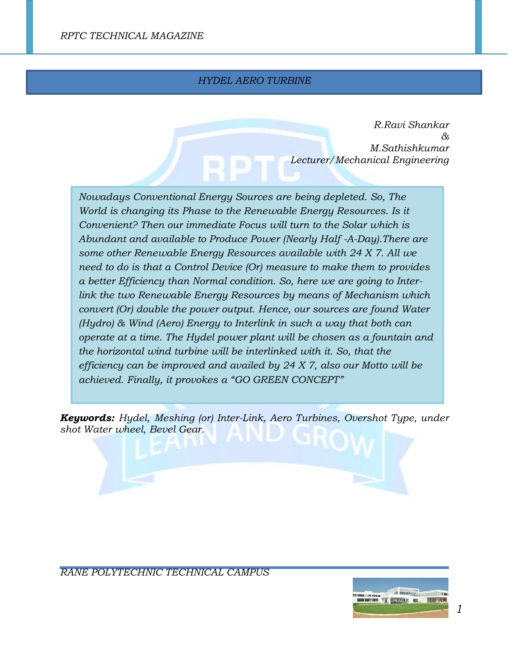# *HYDEL AERO TURBINE*

*R.Ravi Shankar & M.Sathishkumar Lecturer/Mechanical Engineering*

*Nowadays Conventional Energy Sources are being depleted. So, The World is changing its Phase to the Renewable Energy Resources. Is it Convenient? Then our immediate Focus will turn to the Solar which is Abundant and available to Produce Power (Nearly Half -A-Day).There are some other Renewable Energy Resources available with 24 X 7. All we need to do is that a Control Device (Or) measure to make them to provides a better Efficiency than Normal condition. So, here we are going to Interlink the two Renewable Energy Resources by means of Mechanism which convert (Or) double the power output. Hence, our sources are found Water (Hydro) & Wind (Aero) Energy to Interlink in such a way that both can operate at a time. The Hydel power plant will be chosen as a fountain and the horizontal wind turbine will be interlinked with it. So, that the efficiency can be improved and availed by 24 X 7, also our Motto will be achieved. Finally, it provokes a "GO GREEN CONCEPT"* 

*Keywords: Hydel, Meshing (or) Inter-Link, Aero Turbines, Overshot Type, under shot Water wheel, Bevel Gear.*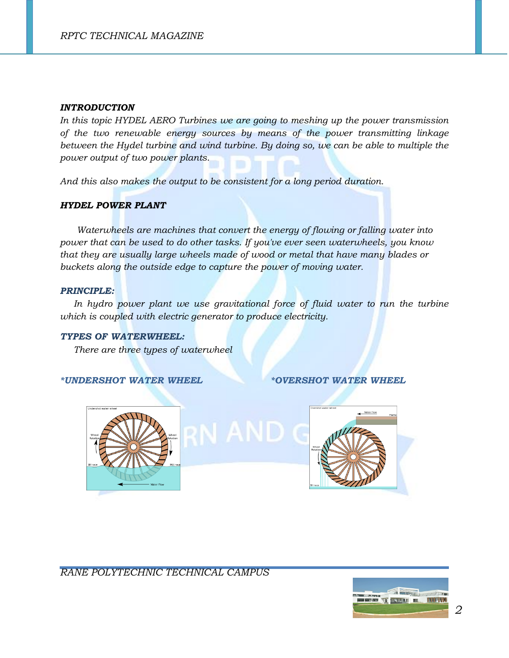#### *INTRODUCTION*

*In this topic HYDEL AERO Turbines we are going to meshing up the power transmission of the two renewable energy sources by means of the power transmitting linkage between the Hydel turbine and wind turbine. By doing so, we can be able to multiple the power output of two power plants.*

*And this also makes the output to be consistent for a long period duration.*

## *HYDEL POWER PLANT*

*Waterwheels are machines that convert the energy of flowing or falling water into power that can be used to do other tasks. If you've ever seen waterwheels, you know that they are usually large wheels made of wood or metal that have many blades or buckets along the outside edge to capture the power of moving water.*

#### *PRINCIPLE:*

In hydro power plant we use gravitational force of fluid water to run the turbine *which is coupled with electric generator to produce electricity.*

#### *TYPES OF WATERWHEEL:*

 *There are three types of waterwheel*

#### *\*UNDERSHOT WATER WHEEL \*OVERSHOT WATER WHEEL*





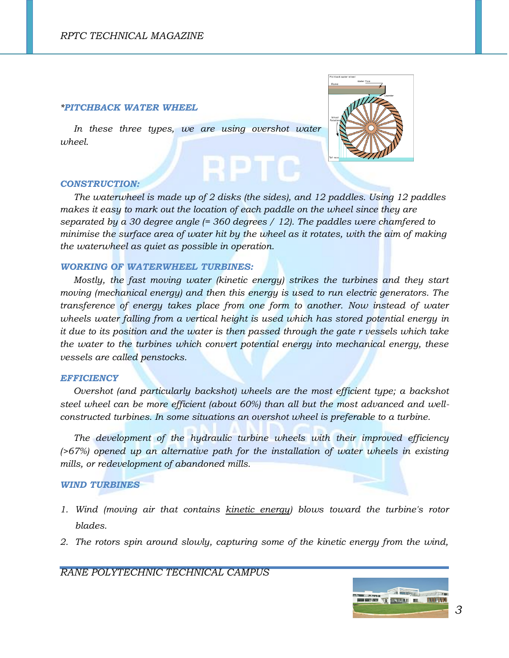#### *\*PITCHBACK WATER WHEEL*

In these three types, we are using overshot water *wheel.*



#### *CONSTRUCTION:*

 *The waterwheel is made up of 2 disks (the sides), and 12 paddles. Using 12 paddles makes it easy to mark out the location of each paddle on the wheel since they are separated by a 30 degree angle (= 360 degrees / 12). The paddles were chamfered to minimise the surface area of water hit by the wheel as it rotates, with the aim of making the waterwheel as quiet as possible in operation.*

#### *WORKING OF WATERWHEEL TURBINES:*

 *Mostly, the fast moving water (kinetic energy) strikes the turbines and they start moving (mechanical energy) and then this energy is used to run electric generators. The transference of energy takes place from one form to another. Now instead of water wheels water falling from a vertical height is used which has stored potential energy in it due to its position and the water is then passed through the gate r vessels which take the water to the turbines which convert potential energy into mechanical energy, these vessels are called penstocks.*

#### *EFFICIENCY*

*<i>Overshot (and particularly backshot) wheels are the most efficient type; a backshot steel wheel can be more efficient (about 60%) than all but the most advanced and wellconstructed turbines. In some situations an overshot wheel is preferable to a turbine.*

The development of the hydraulic turbine wheels with their improved efficiency *(>67%) opened up an alternative path for the installation of water wheels in existing mills, or redevelopment of abandoned mills.*

#### *WIND TURBINES*

- *1. Wind (moving air that contains [kinetic energy\)](http://www.explainthatstuff.com/energy.html) blows toward the turbine's rotor blades.*
- *2. The rotors spin around slowly, capturing some of the kinetic energy from the wind,*

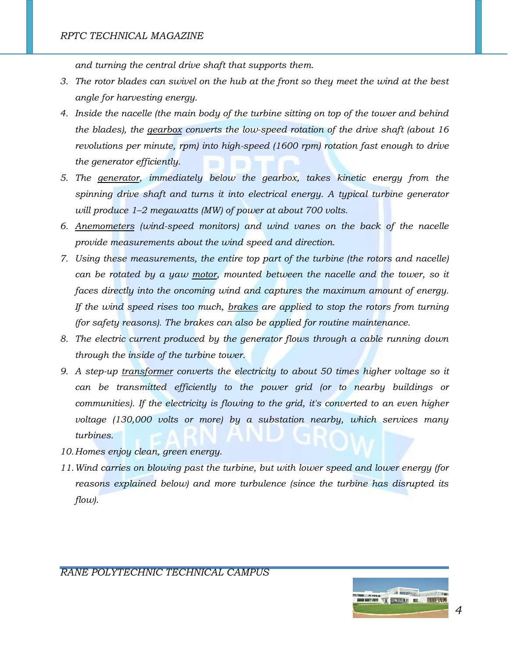*and turning the central drive shaft that supports them.*

- *3. The rotor blades can swivel on the hub at the front so they meet the wind at the best angle for harvesting energy.*
- *4. Inside the nacelle (the main body of the turbine sitting on top of the tower and behind the blades), the [gearbox](http://www.explainthatstuff.com/gears.html) converts the low-speed rotation of the drive shaft (about 16 revolutions per minute, rpm) into high-speed (1600 rpm) rotation fast enough to drive the generator efficiently.*
- *5. The [generator,](http://www.explainthatstuff.com/generators.html) immediately below the gearbox, takes kinetic energy from the spinning drive shaft and turns it into electrical energy. A typical turbine generator will produce 1–2 megawatts (MW) of power at about 700 volts.*
- *6. [Anemometers](http://www.explainthatstuff.com/anemometers.html) (wind-speed monitors) and wind vanes on the back of the nacelle provide measurements about the wind speed and direction.*
- *7. Using these measurements, the entire top part of the turbine (the rotors and nacelle) can be rotated by a yaw [motor,](http://www.explainthatstuff.com/electricmotors.html) mounted between the nacelle and the tower, so it faces directly into the oncoming wind and captures the maximum amount of energy. If the wind speed rises too much, [brakes](http://www.explainthatstuff.com/brakes.html) are applied to stop the rotors from turning (for safety reasons). The brakes can also be applied for routine maintenance.*
- *8. The electric current produced by the generator flows through a cable running down through the inside of the turbine tower.*
- *9. A step-up [transformer](http://www.explainthatstuff.com/transformers.html) converts the electricity to about 50 times higher voltage so it can be transmitted efficiently to the power grid (or to nearby buildings or communities). If the electricity is flowing to the grid, it's converted to an even higher voltage (130,000 volts or more) by a substation nearby, which services many turbines.*
- *10.Homes enjoy clean, green energy.*
- *11.Wind carries on blowing past the turbine, but with lower speed and lower energy (for reasons explained below) and more turbulence (since the turbine has disrupted its flow).*

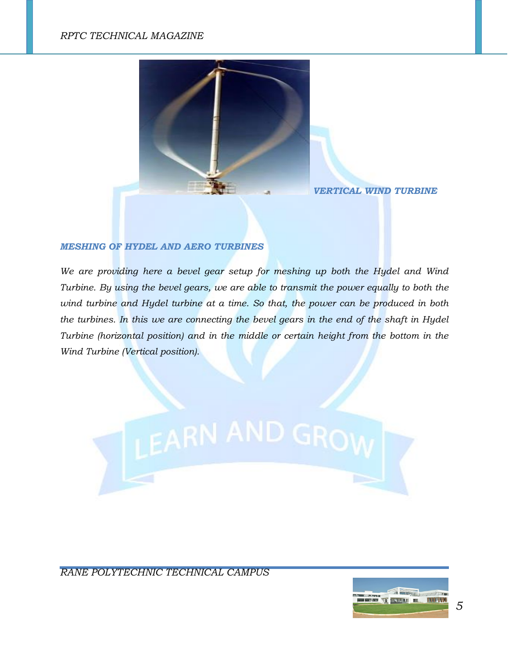# *RPTC TECHNICAL MAGAZINE*



 *VERTICAL WIND TURBINE*

### *MESHING OF HYDEL AND AERO TURBINES*

*We are providing here a bevel gear setup for meshing up both the Hydel and Wind Turbine. By using the bevel gears, we are able to transmit the power equally to both the wind turbine and Hydel turbine at a time. So that, the power can be produced in both the turbines. In this we are connecting the bevel gears in the end of the shaft in Hydel Turbine (horizontal position) and in the middle or certain height from the bottom in the Wind Turbine (Vertical position).*



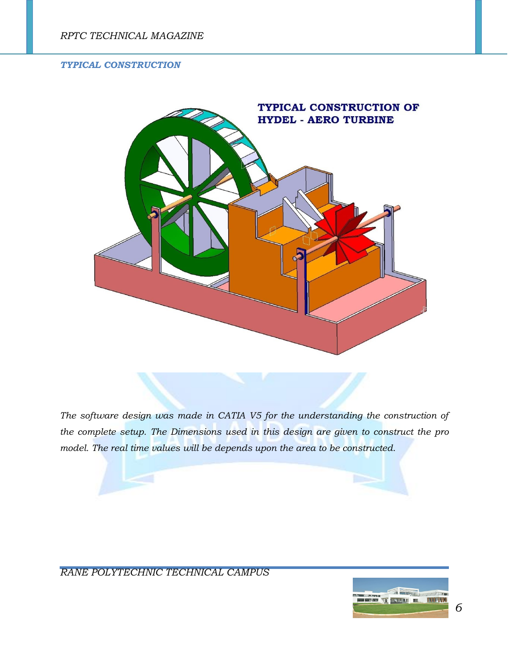## *TYPICAL CONSTRUCTION*



*The software design was made in CATIA V5 for the understanding the construction of the complete setup. The Dimensions used in this design are given to construct the pro model. The real time values will be depends upon the area to be constructed.*

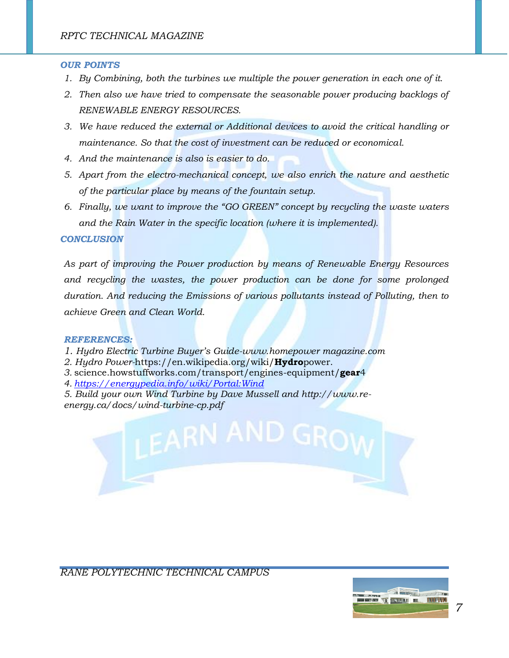#### *OUR POINTS*

- *1. By Combining, both the turbines we multiple the power generation in each one of it.*
- *2. Then also we have tried to compensate the seasonable power producing backlogs of RENEWABLE ENERGY RESOURCES.*
- *3. We have reduced the external or Additional devices to avoid the critical handling or maintenance. So that the cost of investment can be reduced or economical.*
- *4. And the maintenance is also is easier to do.*
- *5. Apart from the electro-mechanical concept, we also enrich the nature and aesthetic of the particular place by means of the fountain setup.*
- *6. Finally, we want to improve the "GO GREEN" concept by recycling the waste waters and the Rain Water in the specific location (where it is implemented).*

#### *CONCLUSION*

*As part of improving the Power production by means of Renewable Energy Resources and recycling the wastes, the power production can be done for some prolonged duration. And reducing the Emissions of various pollutants instead of Polluting, then to achieve Green and Clean World.*

#### *REFERENCES:*

- *1. Hydro Electric Turbine Buyer's Guide-www.homepower magazine.com*
- *2. Hydro Power-*https://en.wikipedia.org/wiki/**Hydro**power.
- *3.* science.howstuffworks.com/transport/engines-equipment/**gear**4
- *4. <https://energypedia.info/wiki/Portal:Wind>*
- *5. Build your own Wind Turbine by Dave Mussell and http://www.reenergy.ca/docs/wind-turbine-cp.pdf*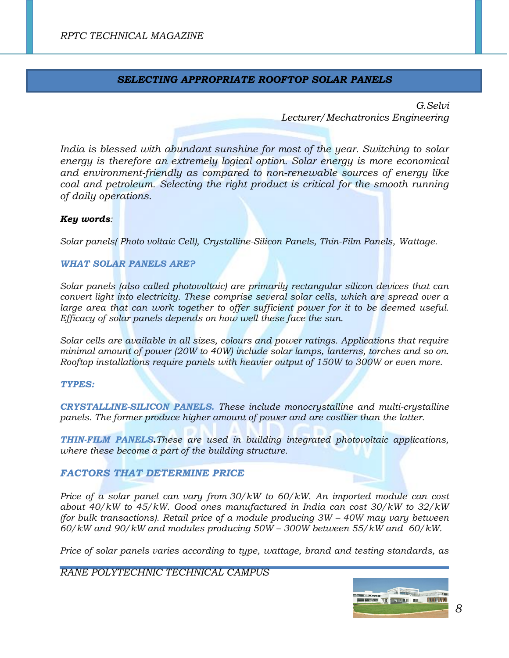# *SELECTING APPROPRIATE ROOFTOP SOLAR PANELS*

*G.Selvi Lecturer/Mechatronics Engineering*

*India is blessed with abundant sunshine for most of the year. Switching to solar energy is therefore an extremely logical option. Solar energy is more economical and environment-friendly as compared to non-renewable sources of energy like coal and petroleum. Selecting the right product is critical for the smooth running of daily operations.*

# *Key words:*

*Solar panels( Photo voltaic Cell), Crystalline-Silicon Panels, Thin-Film Panels, Wattage.*

#### *WHAT SOLAR PANELS ARE?*

*Solar panels (also called photovoltaic) are primarily rectangular silicon devices that can convert light into electricity. These comprise several solar cells, which are spread over a*  large area that can work together to offer sufficient power for it to be deemed useful. *Efficacy of solar panels depends on how well these face the sun.*

*Solar cells are available in all sizes, colours and power ratings. Applications that require minimal amount of power (20W to 40W) include solar lamps, lanterns, torches and so on. Rooftop installations require panels with heavier output of 150W to 300W or even more.*

#### *TYPES:*

*CRYSTALLINE-SILICON PANELS***.** *These include monocrystalline and multi-crystalline panels. The former produce higher amount of power and are costlier than the latter.*

*THIN-FILM PANELS***.***These are used in building integrated photovoltaic applications, where these become a part of the building structure.*

## *FACTORS THAT DETERMINE PRICE*

*Price of a solar panel can vary from 30/kW to 60/kW. An imported module can cost about 40/kW to 45/kW. Good ones manufactured in India can cost 30/kW to 32/kW (for bulk transactions). Retail price of a module producing 3W – 40W may vary between 60/kW and 90/kW and modules producing 50W – 300W between 55/kW and 60/kW.*

*Price of solar panels varies according to type, wattage, brand and testing standards, as* 

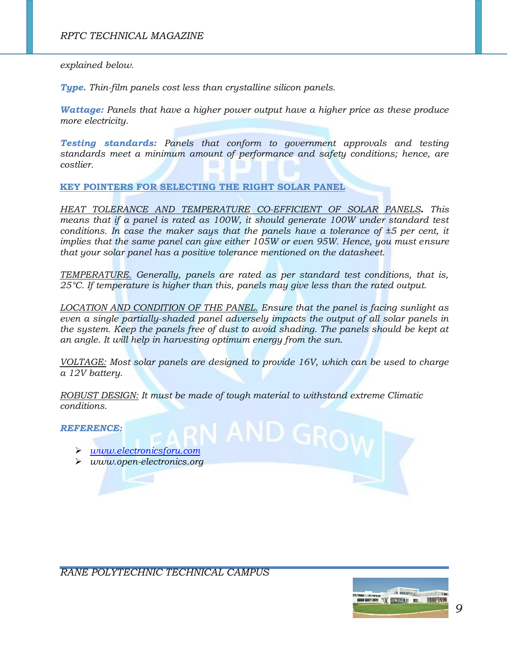*explained below.*

*Type. Thin-film panels cost less than crystalline silicon panels.*

*Wattage: Panels that have a higher power output have a higher price as these produce more electricity.*

*Testing standards: Panels that conform to government approvals and testing standards meet a minimum amount of performance and safety conditions; hence, are costlier.*

**KEY POINTERS FOR SELECTING THE RIGHT SOLAR PANEL**

*HEAT TOLERANCE AND TEMPERATURE CO-EFFICIENT OF SOLAR PANELS. This means that if a panel is rated as 100W, it should generate 100W under standard test conditions. In case the maker says that the panels have a tolerance of ±5 per cent, it implies that the same panel can give either 105W or even 95W. Hence, you must ensure that your solar panel has a positive tolerance mentioned on the datasheet.*

*TEMPERATURE. Generally, panels are rated as per standard test conditions, that is, 25°C. If temperature is higher than this, panels may give less than the rated output.*

*LOCATION AND CONDITION OF THE PANEL. Ensure that the panel is facing sunlight as even a single partially-shaded panel adversely impacts the output of all solar panels in the system. Keep the panels free of dust to avoid shading. The panels should be kept at an angle. It will help in harvesting optimum energy from the sun.*

*VOLTAGE: Most solar panels are designed to provide 16V, which can be used to charge a 12V battery.*

*ROBUST DESIGN: It must be made of tough material to withstand extreme Climatic conditions.*

*REFERENCE:*

- *[www.electronicsforu.com](http://www.electronicsforu.com/)*
- *www.open-electronics.org*

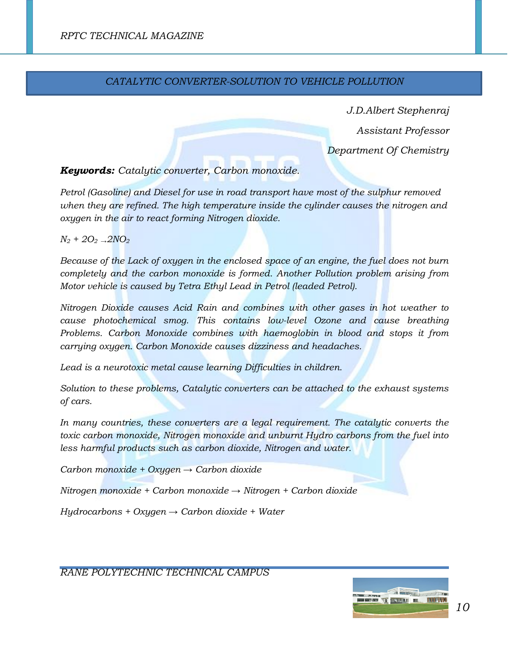# *CATALYTIC CONVERTER-SOLUTION TO VEHICLE POLLUTION*

*J.D.Albert Stephenraj*

*Assistant Professor*

*Department Of Chemistry* 

*Keywords: Catalytic converter, Carbon monoxide.*

*Petrol (Gasoline) and Diesel for use in road transport have most of the sulphur removed when they are refined. The high temperature inside the cylinder causes the nitrogen and oxygen in the air to react forming Nitrogen dioxide.*

*N<sup>2</sup> + 2O2 →2NO<sup>2</sup>*

*Because of the Lack of oxygen in the enclosed space of an engine, the fuel does not burn completely and the carbon monoxide is formed. Another Pollution problem arising from Motor vehicle is caused by Tetra Ethyl Lead in Petrol (leaded Petrol).*

*Nitrogen Dioxide causes Acid Rain and combines with other gases in hot weather to cause photochemical smog. This contains low-level Ozone and cause breathing Problems. Carbon Monoxide combines with haemoglobin in blood and stops it from carrying oxygen. Carbon Monoxide causes dizziness and headaches.*

*Lead is a neurotoxic metal cause learning Difficulties in children.*

*Solution to these problems, Catalytic converters can be attached to the exhaust systems of cars.*

*In many countries, these converters are a legal requirement. The catalytic converts the toxic carbon monoxide, Nitrogen monoxide and unburnt Hydro carbons from the fuel into less harmful products such as carbon dioxide, Nitrogen and water.*

*Carbon monoxide + Oxygen → Carbon dioxide*

*Nitrogen monoxide + Carbon monoxide → Nitrogen + Carbon dioxide*

*Hydrocarbons + Oxygen → Carbon dioxide + Water* 

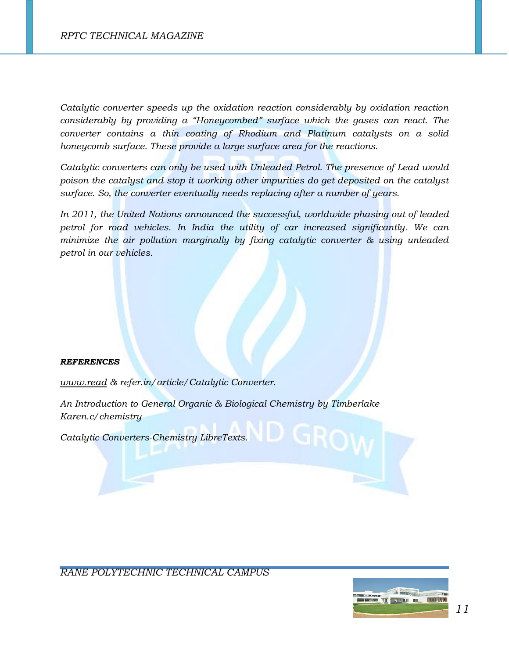*Catalytic converter speeds up the oxidation reaction considerably by oxidation reaction considerably by providing a "Honeycombed" surface which the gases can react. The converter contains a thin coating of Rhodium and Platinum catalysts on a solid honeycomb surface. These provide a large surface area for the reactions.*

*Catalytic converters can only be used with Unleaded Petrol. The presence of Lead would poison the catalyst and stop it working other impurities do get deposited on the catalyst surface. So, the converter eventually needs replacing after a number of years.*

*In 2011, the United Nations announced the successful, worldwide phasing out of leaded petrol for road vehicles. In India the utility of car increased significantly. We can minimize the air pollution marginally by fixing catalytic converter & using unleaded petrol in our vehicles.*

#### *REFERENCES*

*[www.read](http://www.read/) & refer.in/article/Catalytic Converter.*

*An Introduction to General Organic & Biological Chemistry by Timberlake Karen.c/chemistry*

*Catalytic Converters-Chemistry LibreTexts.*

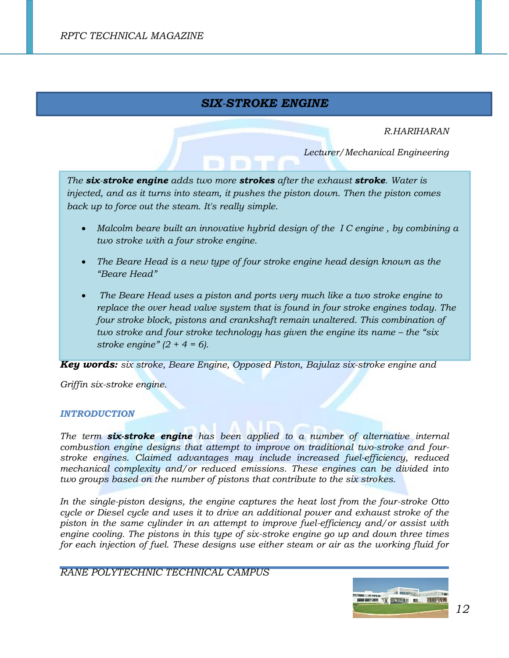# *SIX-STROKE ENGINE*

#### *R.HARIHARAN*

*Lecturer/Mechanical Engineering*

*The six-stroke engine adds two more strokes after the exhaust stroke. Water is injected, and as it turns into steam, it pushes the piston down. Then the piston comes back up to force out the steam. It's really simple.*

- *Malcolm beare built an innovative hybrid design of the I C engine , by combining a two stroke with a four stroke engine.*
- *The Beare Head is a new type of four stroke engine head design known as the "Beare Head"*
- *The Beare Head uses a piston and ports very much like a two stroke engine to replace the over head valve system that is found in four stroke engines today. The four stroke block, pistons and crankshaft remain unaltered. This combination of two stroke and four stroke technology has given the engine its name – the "six" stroke engine" (2 + 4 = 6).*

*Key words: six stroke, Beare Engine, Opposed Piston, Bajulaz six-stroke engine and*

*Griffin six-stroke engine.*

#### *INTRODUCTION*

*The term six-stroke engine has been applied to a number of alternative internal [combustion engine](https://en.wikipedia.org/wiki/Internal_combustion_engine) designs that attempt to improve on traditional [two-stroke](https://en.wikipedia.org/wiki/Two-stroke_engine) and [four](https://en.wikipedia.org/wiki/Four-stroke_engine)[stroke](https://en.wikipedia.org/wiki/Four-stroke_engine) engines. Claimed advantages may include increased [fuel-efficiency,](https://en.wikipedia.org/wiki/Fuel-efficiency) reduced mechanical complexity and/or reduced [emissions.](https://en.wikipedia.org/wiki/Exhaust_gas) These engines can be divided into two groups based on the number of pistons that contribute to the six strokes.*

*In the single-piston designs, the engine captures the heat lost from the four-stroke [Otto](https://en.wikipedia.org/wiki/Otto_cycle)  [cycle](https://en.wikipedia.org/wiki/Otto_cycle) or [Diesel cycle](https://en.wikipedia.org/wiki/Diesel_cycle) and uses it to drive an additional power and exhaust stroke of the piston in the same cylinder in an attempt to improve fuel-efficiency and/or assist with engine cooling. The pistons in this type of six-stroke engine go up and down three times*  for each injection of fuel. These designs use either steam or air as the working fluid for

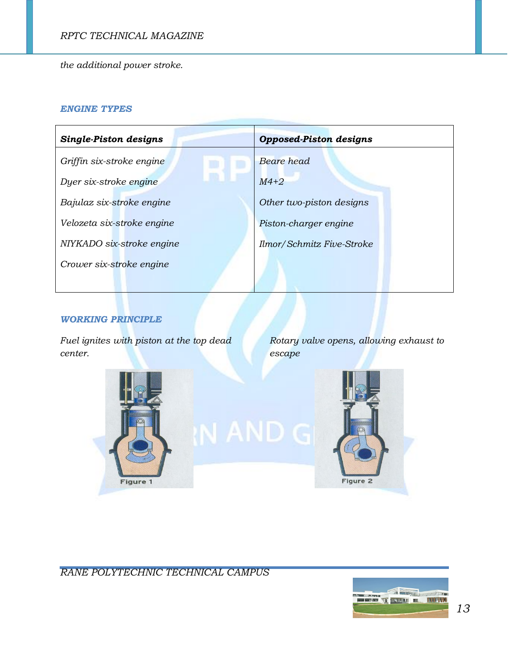*the additional power stroke.*

#### *ENGINE TYPES*

| <b>Single-Piston designs</b> | <b>Opposed-Piston designs</b> |
|------------------------------|-------------------------------|
| Griffin six-stroke engine    | Beare head                    |
| Dyer six-stroke engine       | $M4+2$                        |
| Bajulaz six-stroke engine    | Other two-piston designs      |
| Velozeta six-stroke engine   | Piston-charger engine         |
| NIYKADO six-stroke engine    | Ilmor/Schmitz Five-Stroke     |
| Crower six-stroke engine     |                               |
|                              |                               |

# *WORKING PRINCIPLE*

*Fuel ignites with piston at the top dead center.*

*Rotary valve opens, allowing exhaust to escape*

Figure 2





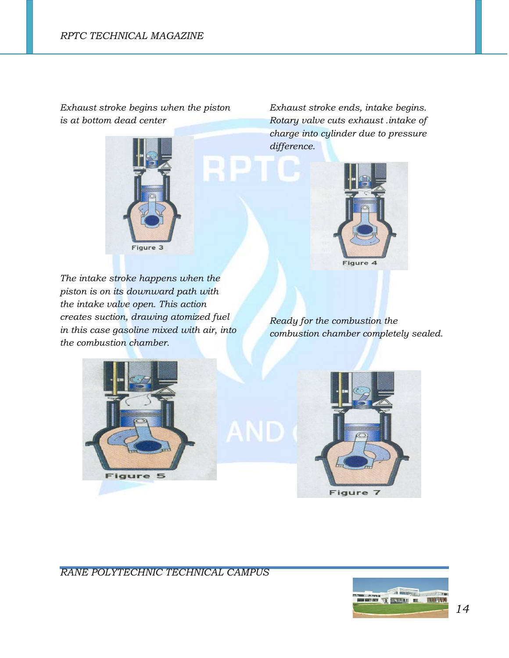*Exhaust stroke begins when the piston is at bottom dead center*



*Exhaust stroke ends, intake begins. Rotary valve cuts exhaust .intake of charge into cylinder due to pressure difference.*



*The intake stroke happens when the piston is on its downward path with the intake valve open. This action creates suction, drawing atomized fuel in this case gasoline mixed with air, into the combustion chamber.* 

*Ready for the combustion the combustion chamber completely sealed.*



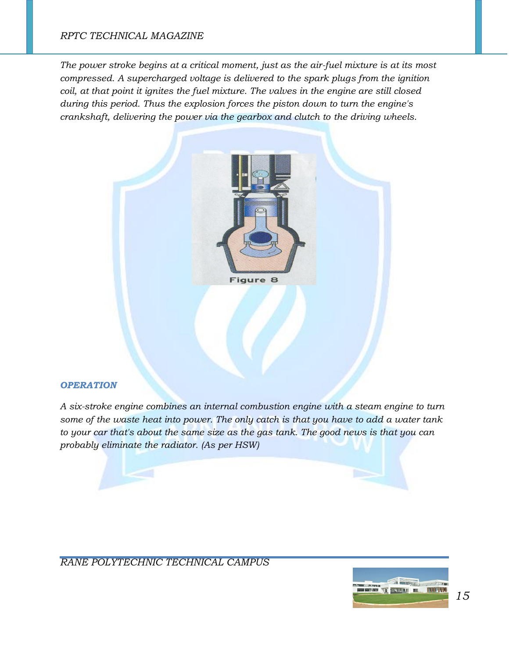# *RPTC TECHNICAL MAGAZINE*

*The power stroke begins at a critical moment, just as the air-fuel mixture is at its most compressed. A supercharged voltage is delivered to the spark plugs from the ignition coil, at that point it ignites the fuel mixture. The valves in the engine are still closed during this period. Thus the explosion forces the piston down to turn the engine's crankshaft, delivering the power via the gearbox and clutch to the driving wheels.*



#### *OPERATION*

*A six-stroke engine combines an internal combustion engine with a steam engine to turn some of the waste heat into power. The only catch is that you have to add a water tank to your car that's about the same size as the gas tank. The good news is that you can probably eliminate the radiator. (As per HSW)*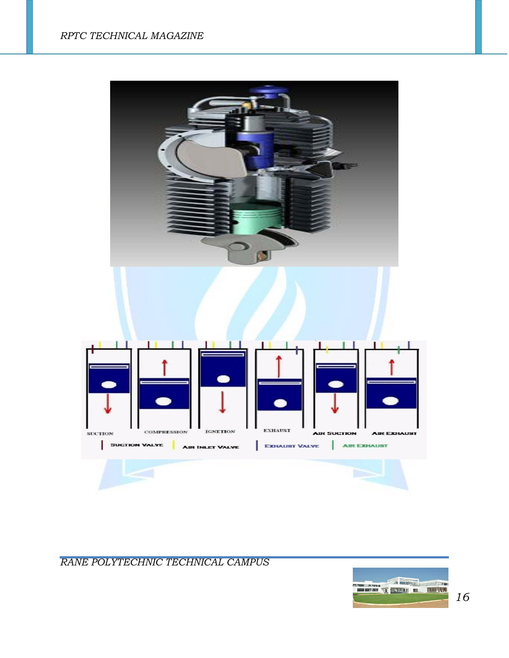

*RANE POLYTECHNIC TECHNICAL CAMPUS* 



*16*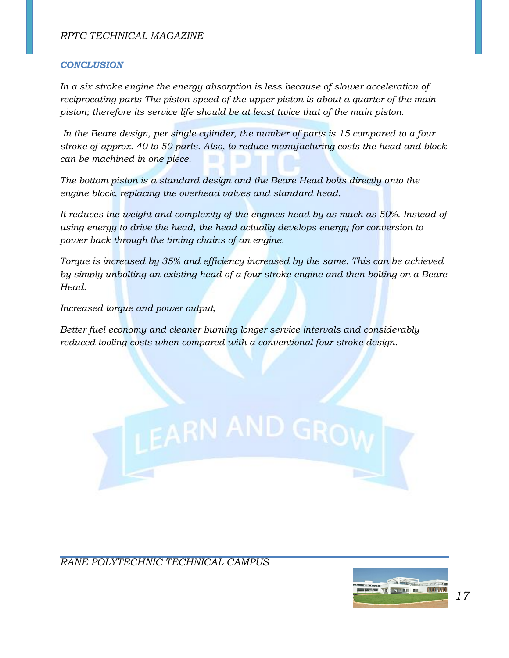#### *CONCLUSION*

*In a six stroke engine the energy absorption is less because of slower acceleration of reciprocating parts The piston speed of the upper piston is about a quarter of the main piston; therefore its service life should be at least twice that of the main piston.*

*In the Beare design, per single cylinder, the number of parts is 15 compared to a four stroke of approx. 40 to 50 parts. Also, to reduce manufacturing costs the head and block can be machined in one piece.* 

*The bottom piston is a standard design and the Beare Head bolts directly onto the engine block, replacing the overhead valves and standard head.*

*It reduces the weight and complexity of the engines head by as much as 50%. Instead of using energy to drive the head, the head actually develops energy for conversion to power back through the timing chains of an engine.*

*Torque is increased by 35% and efficiency increased by the same. This can be achieved by simply unbolting an existing head of a four-stroke engine and then bolting on a Beare Head.*

*Increased torque and power output,*

*Better fuel economy and cleaner burning longer service intervals and considerably reduced tooling costs when compared with a conventional four-stroke design.*